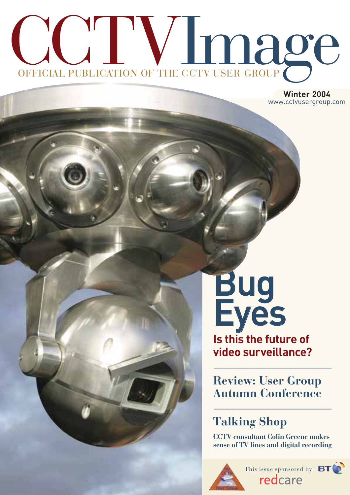# OFFICIAL PUBLICATION OF THE CCTV USER GROUP

www.cctvusergroup.com **Winter 2004**

Bug **Eyes Is this the future of video surveillance?**

**--------------------------- Review: User Group Autumn Conference** 

# **--------------------------- Talking Shop**

**CCTV consultant Colin Greene makes sense of TV lines and digital recording**

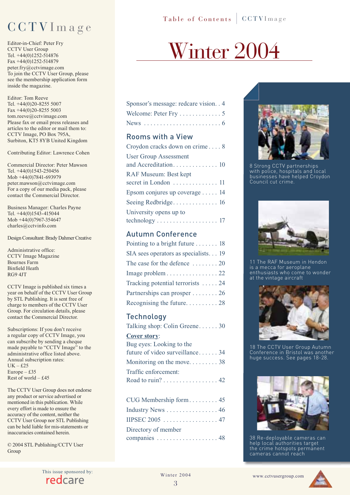# CCTVImage

Editor-in-Chief: Peter Fry CCTV User Group Tel. +44(0)1252-514876 Fax +44(0)1252-514879 peter.fry@cctvimage.com To join the CCTV User Group, please see the membership application form inside the magazine.

Editor: Tom Reeve Tel. +44(0)20-8255 5007 Fax +44(0)20-8255 5003 tom.reeve@cctvimage.com Please fax or email press releases and articles to the editor or mail them to: CCTV Image, PO Box 795A, Surbiton, KT5 8YB United Kingdom

Contributing Editor: Lawrence Cohen

Commercial Director: Peter Mawson Tel. +44(0)1543-250456 Mob +44(0)7841-693979 peter.mawson@cctvimage.com For a copy of our media pack, please contact the Commercial Director.

Business Manager: Charles Payne Tel. +44(0)1543-415044 Mob +44(0)7967-354647 charles@cctvinfo.com

Design Consultant: Brady Dahmer Creative

Administrative office: CCTV Image Magazine Bournes Farm Binfield Heath RG9 4JT

CCTV Image is published six times a year on behalf of the CCTV User Group by STL Publishing. It is sent free of charge to members of the CCTV User Group. For circulation details, please contact the Commercial Director.

Subscriptions: If you don't receive a regular copy of CCTV Image, you can subscribe by sending a cheque made payable to "CCTV Image" to the administrative office listed above. Annual subscription rates:  $UK - £25$ Europe – £35 Rest of world  $-$  £45

The CCTV User Group does not endorse any product or service advertised or mentioned in this publication. While every effort is made to ensure the accuracy of the content, neither the CCTV User Group nor STL Publishing can be held liable for mis-statements or inaccuracies contained herein.

© 2004 STL Publishing/CCTV User Group

# Winter 2004

| Sponsor's message: redcare vision. . 4                    |  |
|-----------------------------------------------------------|--|
|                                                           |  |
| News $\ldots \ldots \ldots \ldots \ldots \ldots \ldots 6$ |  |

#### Rooms with a View

| Croydon cracks down on crime 8                                                      |
|-------------------------------------------------------------------------------------|
| <b>User Group Assessment</b><br>and Accreditation. 10                               |
| <b>RAF Museum: Best kept</b><br>secret in London $\dots \dots \dots \dots \dots$ 11 |
| Epsom conjures up coverage $\dots$ 14                                               |
| Seeing Redbridge 16                                                                 |
| University opens up to                                                              |

#### Autumn Conference

| Pointing to a bright future $\dots \dots$ 18       |
|----------------------------------------------------|
| SIA sees operators as specialists. 19              |
| The case for the defence $\dots \dots 20$          |
| Image problem . $\dots \dots \dots \dots \dots 22$ |
| Tracking potential terrorists $\dots$ . 24         |
| Partnerships can prosper $\dots \dots 26$          |
| Recognising the future. $\dots \dots \dots 28$     |
|                                                    |

#### Technology

Talking shop: Colin Greene. . . . . . 30

#### **Cover story**:

| Bug eyes: Looking to the       |  |
|--------------------------------|--|
| future of video surveillance34 |  |
| Monitoring on the move 38      |  |
| Traffic enforcement:           |  |
| Road to ruin? 42               |  |
|                                |  |

| CUG Membership form $45$                                   |  |
|------------------------------------------------------------|--|
| Industry News $\dots \dots \dots \dots \dots 46$           |  |
|                                                            |  |
| Directory of member                                        |  |
| companies $\ldots \ldots \ldots \ldots \ldots \ldots$ . 48 |  |



8 Strong CCTV partnerships with police, hospitals and local businesses have helped Croydon Council cut crime.



11 The RAF Museum in Hendon is a mecca for aeroplane enthusiasts who come to wonder at the vintage aircraft



18 The CCTV User Group Autumn Conference in Bristol was another huge success. See pages 18-28.



38 Re-deployable cameras can help local authorities target the crime hotspots permanent cameras cannot reach

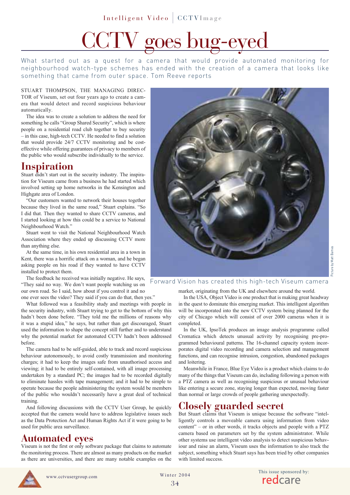#### Intelligent Video | CCTV Image

# CCTV goes bug-eyed

What started out as a quest for a camera that would provide automated monitoring for neighbourhood watch-type schemes has ended with the creation of a camera that looks like something that came from outer space. Tom Reeve reports

STUART THOMPSON, THE MANAGING DIREC-TOR of Viseum, set out four years ago to create a camera that would detect and record suspicious behaviour automatically.

The idea was to create a solution to address the need for something he calls "Group Shared Security", which is where people on a residential road club together to buy security – in this case, high-tech CCTV. He needed to find a solution that would provide 24/7 CCTV monitoring and be costeffective while offering guarantees of privacy to members of the public who would subscribe individually to the service.

### **Inspiration**

Stuart didn't start out in the security industry. The inspiration for Viseum came from a business he had started which involved setting up home networks in the Kensington and Highgate area of London.

"Our customers wanted to network their houses together because they lived in the same road," Stuart explains. "So I did that. Then they wanted to share CCTV cameras, and I started looking at how this could be a service to National Neighbourhood Watch."

Stuart went to visit the National Neighbourhood Watch Association where they ended up discussing CCTV more than anything else.

At the same time, in his own residential area in a town in Kent, there was a horrific attack on a woman, and he began asking people on his road if they wanted to have CCTV installed to protect them.

The feedback he received was initially negative. He says, "They said no way. We don't want people watching us on our own road. So I said, how about if you control it and no

one ever sees the video? They said if you can do that, then yes."

What followed was a feasibility study and meetings with people in the security industry, with Stuart trying to get to the bottom of why this hadn't been done before. "They told me the millions of reasons why it was a stupid idea," he says, but rather than get discouraged, Stuart used the information to shape the concept still further and to understand why the potential market for automated CCTV hadn't been addressed before.

The camera had to be self-guided, able to track and record suspicious behaviour autonomously, to avoid costly transmission and monitoring charges; it had to keep the images safe from unauthorised access and viewing; it had to be entirely self-contained, with all image processing undertaken by a standard PC; the images had to be recorded digitally to eliminate hassles with tape management; and it had to be simple to operate because the people administering the system would be members of the public who wouldn't necessarily have a great deal of technical training.

And following discussions with the CCTV User Group, he quickly accepted that the camera would have to address legislative issues such as the Data Protection Act and Human Rights Act if it were going to be used for public area surveillance.

# **Automated eyes**

Viseum is not the first or only software package that claims to automate the monitoring process. There are almost as many products on the market as there are universities, and there are many notable examples on the



#### Forward Vision has created this high-tech Viseum camera

market, originating from the UK and elsewhere around the world.

In the USA, Object Video is one product that is making great headway in the quest to dominate this emerging market. This intelligent algorithm will be incorporated into the new CCTV system being planned for the city of Chicago which will consist of over 2000 cameras when it is completed.

In the UK, IpsoTek produces an image analysis programme called Cromatica which detects unusual activity by recognising pre-programmed behavioural patterns. The 16-channel capacity system incorporates digital video recording and camera selection and management functions, and can recognise intrusion, congestion, abandoned packages and loitering.

Meanwhile in France, Blue Eye Video is a product which claims to do many of the things that Viseum can do, including following a person with a PTZ camera as well as recognising suspicious or unusual behaviour like entering a secure zone, staying longer than expected, moving faster than normal or large crowds of people gathering unexpectedly.

# **Closely guarded secret**

But Stuart claims that Viseum is unique because the software "intelligently controls a moveable camera using information from video content" – or in other words, it tracks objects and people with a PTZ camera based on parameters set by the system administrator. While other systems use intelligent video analysis to detect suspicious behaviour and raise an alarm, Viseum uses the information to also track the subject, something which Stuart says has been tried by other companies with limited success.

 This issue sponsored by: redcare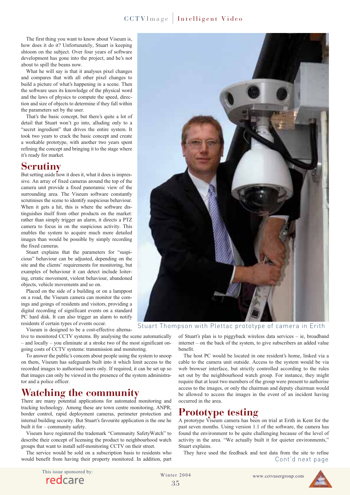The first thing you want to know about Viseum is, how does it do it? Unfortunately, Stuart is keeping shtoom on the subject. Over four years of software development has gone into the project, and he's not about to spill the beans now.

What he will say is that it analyses pixel changes and compares that with all other pixel changes to build a picture of what's happening in a scene. Then the software uses its knowledge of the physical word and the laws of physics to compute the speed, direction and size of objects to determine if they fall within the parameters set by the user.

That's the basic concept, but there's quite a lot of detail that Stuart won't go into, alluding only to a "secret ingredient" that drives the entire system. It took two years to crack the basic concept and create a workable prototype, with another two years spent refining the concept and bringing it to the stage where it's ready for market.

#### **Scrutiny**

But setting aside how it does it, what it does is impressive. An array of fixed cameras around the top of the camera unit provide a fixed panoramic view of the surrounding area. The Viseum software constantly scrutinises the scene to identify suspicious behaviour. When it gets a hit, this is where the software distinguishes itself from other products on the market: rather than simply trigger an alarm, it directs a PTZ camera to focus in on the suspicious activity. This enables the system to acquire much more detailed images than would be possible by simply recording the fixed cameras.

Stuart explains that the parameters for "suspicious" behaviour can be adjusted, depending on the site and the clients' requirements for monitoring, but examples of behaviour it can detect include loitering, erratic movement, violent behaviour, abandoned objects, vehicle movements and so on.

Placed on the side of a building or on a lamppost on a road, the Viseum camera can monitor the comings and goings of residents and visitors, providing a digital recording of significant events on a standard PC hard disk. It can also trigger an alarm to notify residents if certain types of events occur.

Viseum is designed to be a cost-effective alterna-

tive to monitored CCTV systems. By analysing the scene automatically – and locally – you eliminate at a stroke two of the most significant ongoing costs of CCTV systems: transmission and monitoring.

To answer the public's concern about people using the system to snoop on them, Viseum has safeguards built into it which limit access to the recorded images to authorised users only. If required, it can be set up so that images can only be viewed in the presence of the system administrator and a police officer.

# **Watching the community**

There are many potential applications for automated monitoring and tracking technology. Among these are town centre monitoring, ANPR, border control, rapid deployment cameras, perimeter protection and internal building security. But Stuart's favourite application is the one he built it for – community safety.

Viseum have registered the trademark "Community SafetyWatch" to describe their concept of licensing the product to neighbourhood watch groups that want to install self-monitoring CCTV on their street.

The service would be sold on a subscription basis to residents who would benefit from having their property monitored. In addition, part



Stuart Thompson with Plettac prototype of camera in Erith

of Stuart's plan is to piggyback wireless data services – ie, broadband internet – on the back of the system, to give subscribers an added value benefit.

The host PC would be located in one resident's home, linked via a cable to the camera unit outside. Access to the system would be via web browser interface, but strictly controlled according to the rules set out by the neighbourhood watch group. For instance, they might require that at least two members of the group were present to authorise access to the images, or only the chairman and deputy chairman would be allowed to access the images in the event of an incident having occurred in the area.

### **Prototype testing**

A prototype Viseum camera has been on trial at Erith in Kent for the past seven months. Using version 1.1 of the software, the camera has found the environment to be quite challenging because of the level of activity in the area. "We actually built it for quieter environments," Stuart explains.

They have used the feedback and test data from the site to refine Cont'd next page